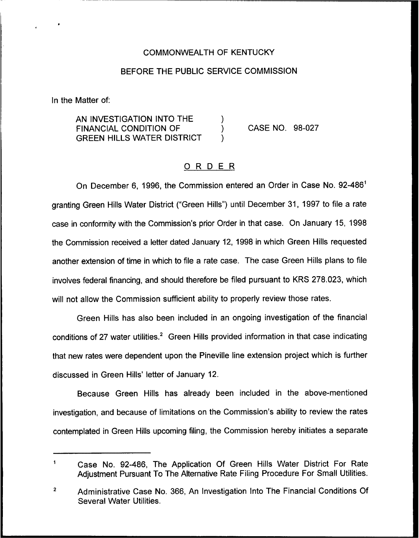#### COMMONWEALTH OF KENTUCKY

#### BEFORE THE PUBLIC SERVICE COMMISSION

In the Matter of:

AN INVESTIGATION INTO THE  $\qquad\qquad)$  FINANCIAL CONDITION OF  $\qquad\qquad)$ FINANCIAL CONDITION OF  $\left( \begin{array}{cc} 0 & 0 \\ 0 & 0 \end{array} \right)$ **GREEN HILLS WATER DISTRICT** 

CASE NO. 98-027

## ORDER

On December 6, 1996, the Commission entered an Order in Case No. 92-486" granting Green Hills Water District ("Green Hills") until December 31, 1997 to file a rate case in conformity with the Commission's prior Order in that case. On January 15, 1998 the Commission received a letter dated January 12, 1998 in which Green Hills requested another extension of time in which to file a rate case. The case Green Hills plans to file involves federal financing, and should therefore be filed pursuant to KRS 278.023, which will not allow the Commission sufficient ability to properly review those rates.

Green Hills has also been included in an ongoing investigation of the financial conditions of 27 water utilities.<sup>2</sup> Green Hills provided information in that case indicating that new rates were dependent upon the Pineville line extension project which is further discussed in Green Hills' letter of January 12.

Because Green Hills has already been included in the above-mentioned investigation, and because of limitations on the Commission's ability to review the rates contemplated in Green Hills upcoming filing, the Commission hereby initiates a separate

 $\mathbf 1$ Case No. 92-486, The Application Of Green Hills Water District For Rate Adjustment Pursuant To The Alternative Rate Filing Procedure For Small Utilities.

 $\overline{2}$ Administrative Case No. 366, An Investigation Into The Financial Conditions Of Several Water Utilities.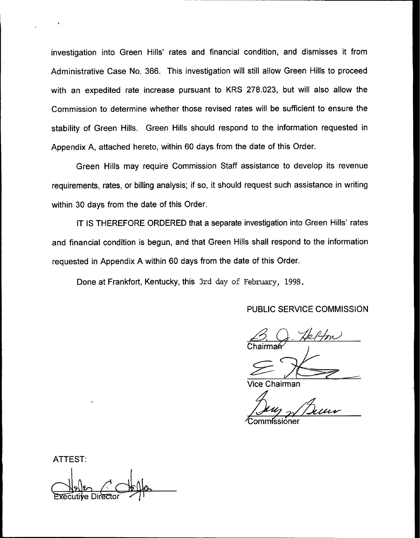investigation into Green Hills' rates and financial condition, and dismisses it from Administrative Case No. 366. This investigation will still allow Green Hills to proceed with an expedited rate increase pursuant to KRS 278.023, but will also allow the Commission to determine whether those revised rates will be sufficient to ensure the stability of Green Hills. Green Hills should respond to the information requested in Appendix A, attached hereto, within 60 days from the date of this Order.

Green Hills may require Commission Staff assistance to develop its revenue requirements, rates, or billing analysis; if so, it should request such assistance in writing within 30 days from the date of this Order.

IT IS THEREFORE ORDERED that a separate investigation into Green Hills' rates and financial condition is begun, and that Green Hills shall respond to the information requested in Appendix A within 60 days from the date of this Order.

Done at Frankfort, Kentucky, this 3rd day of February, 1998.

PUBLIC SERVICE COMMISSION

 $\beta$ . Jeffon Chairma

Vice Chairman

ommissioner

ATTEST: uti**y**e Directo